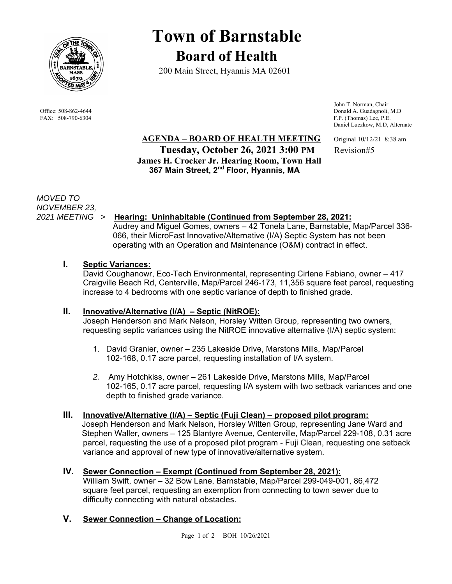

# **Town of Barnstable Board of Health**

200 Main Street, Hyannis MA 02601

 John T. Norman, Chair Office: 508-862-4644 Donald A. Guadagnoli, M.D<br>
FAX: 508-790-6304 F.P. (Thomas) Lee, P.E. F.P. (Thomas) Lee, P.E. Daniel Luczkow, M.D, Alternate

**AGENDA – BOARD OF HEALTH MEETING** Original 10/12/21 8:38 am **Tuesday, October 26, 2021 3:00 PM** Revision#5  **James H. Crocker Jr. Hearing Room, Town Hall 367 Main Street, 2nd Floor, Hyannis, MA** 

*MOVED TO NOVEMBER 23,* 

## *2021 MEETING >* **Hearing: Uninhabitable (Continued from September 28, 2021:**

Audrey and Miguel Gomes, owners – 42 Tonela Lane, Barnstable, Map/Parcel 336- 066, their MicroFast Innovative/Alternative (I/A) Septic System has not been operating with an Operation and Maintenance (O&M) contract in effect.

## **I. Septic Variances:**

David Coughanowr, Eco-Tech Environmental, representing Cirlene Fabiano, owner – 417 Craigville Beach Rd, Centerville, Map/Parcel 246-173, 11,356 square feet parcel, requesting increase to 4 bedrooms with one septic variance of depth to finished grade.

## **II. Innovative/Alternative (I/A) – Septic (NitROE):**

Joseph Henderson and Mark Nelson, Horsley Witten Group, representing two owners, requesting septic variances using the NitROE innovative alternative (I/A) septic system:

- 1. David Granier, owner 235 Lakeside Drive, Marstons Mills, Map/Parcel 102-168, 0.17 acre parcel, requesting installation of I/A system.
- *2.* Amy Hotchkiss, owner 261 Lakeside Drive, Marstons Mills, Map/Parcel 102-165, 0.17 acre parcel, requesting I/A system with two setback variances and one depth to finished grade variance.

## **III. Innovative/Alternative (I/A) – Septic (Fuji Clean) – proposed pilot program:**

 Joseph Henderson and Mark Nelson, Horsley Witten Group, representing Jane Ward and Stephen Waller, owners – 125 Blantyre Avenue, Centerville, Map/Parcel 229-108, 0.31 acre parcel, requesting the use of a proposed pilot program - Fuji Clean, requesting one setback variance and approval of new type of innovative/alternative system.

# **IV. Sewer Connection – Exempt (Continued from September 28, 2021):**

William Swift, owner – 32 Bow Lane, Barnstable, Map/Parcel 299-049-001, 86,472 square feet parcel, requesting an exemption from connecting to town sewer due to difficulty connecting with natural obstacles.

## **V. Sewer Connection – Change of Location:**

Page 1 of 2 BOH 10/26/2021